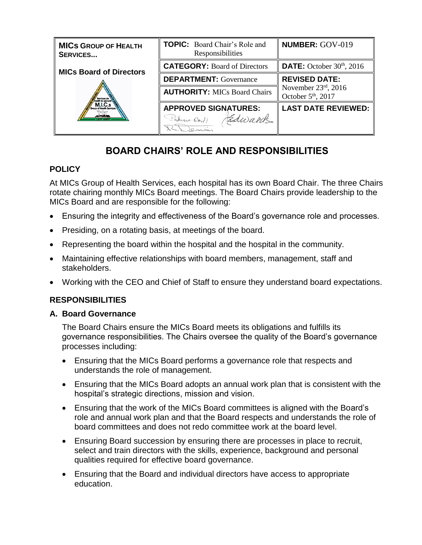| <b>MICS GROUP OF HEALTH</b><br><b>SERVICES</b> | <b>TOPIC:</b> Board Chair's Role and<br>Responsibilities | <b>NUMBER: GOV-019</b>                                   |
|------------------------------------------------|----------------------------------------------------------|----------------------------------------------------------|
| <b>MICs Board of Directors</b>                 | <b>CATEGORY: Board of Directors</b>                      | <b>DATE:</b> October $30th$ , 2016                       |
|                                                | <b>DEPARTMENT:</b> Governance                            | <b>REVISED DATE:</b>                                     |
|                                                | <b>AUTHORITY: MICs Board Chairs</b>                      | November $23rd$ , 2016<br>October 5 <sup>th</sup> , 2017 |
|                                                | <b>APPROVED SIGNATURES:</b><br>Edward<br>Patricia Dorf   | <b>LAST DATE REVIEWED:</b>                               |

# **BOARD CHAIRS' ROLE AND RESPONSIBILITIES**

# **POLICY**

At MICs Group of Health Services, each hospital has its own Board Chair. The three Chairs rotate chairing monthly MICs Board meetings. The Board Chairs provide leadership to the MICs Board and are responsible for the following:

- Ensuring the integrity and effectiveness of the Board's governance role and processes.
- Presiding, on a rotating basis, at meetings of the board.
- Representing the board within the hospital and the hospital in the community.
- Maintaining effective relationships with board members, management, staff and stakeholders.
- Working with the CEO and Chief of Staff to ensure they understand board expectations.

# **RESPONSIBILITIES**

## **A. Board Governance**

The Board Chairs ensure the MICs Board meets its obligations and fulfills its governance responsibilities. The Chairs oversee the quality of the Board's governance processes including:

- Ensuring that the MICs Board performs a governance role that respects and understands the role of management.
- Ensuring that the MICs Board adopts an annual work plan that is consistent with the hospital's strategic directions, mission and vision.
- Ensuring that the work of the MICs Board committees is aligned with the Board's role and annual work plan and that the Board respects and understands the role of board committees and does not redo committee work at the board level.
- Ensuring Board succession by ensuring there are processes in place to recruit, select and train directors with the skills, experience, background and personal qualities required for effective board governance.
- Ensuring that the Board and individual directors have access to appropriate education.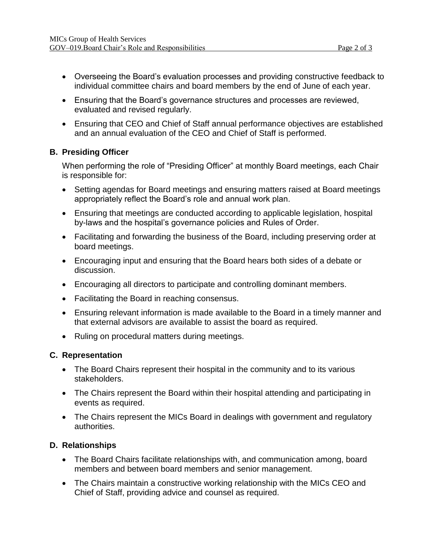- Overseeing the Board's evaluation processes and providing constructive feedback to individual committee chairs and board members by the end of June of each year.
- Ensuring that the Board's governance structures and processes are reviewed, evaluated and revised regularly.
- Ensuring that CEO and Chief of Staff annual performance objectives are established and an annual evaluation of the CEO and Chief of Staff is performed.

### **B. Presiding Officer**

When performing the role of "Presiding Officer" at monthly Board meetings, each Chair is responsible for:

- Setting agendas for Board meetings and ensuring matters raised at Board meetings appropriately reflect the Board's role and annual work plan.
- Ensuring that meetings are conducted according to applicable legislation, hospital by-laws and the hospital's governance policies and Rules of Order.
- Facilitating and forwarding the business of the Board, including preserving order at board meetings.
- Encouraging input and ensuring that the Board hears both sides of a debate or discussion.
- Encouraging all directors to participate and controlling dominant members.
- Facilitating the Board in reaching consensus.
- Ensuring relevant information is made available to the Board in a timely manner and that external advisors are available to assist the board as required.
- Ruling on procedural matters during meetings.

#### **C. Representation**

- The Board Chairs represent their hospital in the community and to its various stakeholders.
- The Chairs represent the Board within their hospital attending and participating in events as required.
- The Chairs represent the MICs Board in dealings with government and regulatory authorities.

#### **D. Relationships**

- The Board Chairs facilitate relationships with, and communication among, board members and between board members and senior management.
- The Chairs maintain a constructive working relationship with the MICs CEO and Chief of Staff, providing advice and counsel as required.